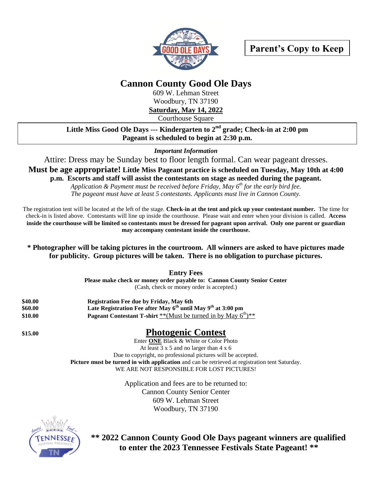

## **Cannon County Good Ole Days**

609 W. Lehman Street Woodbury, TN 37190 **Saturday, May 14, 2022**

Courthouse Square

**Little Miss Good Ole Days --- Kindergarten to 2nd grade; Check-in at 2:00 pm Pageant is scheduled to begin at 2:30 p.m.**

*Important Information*

Attire: Dress may be Sunday best to floor length formal. Can wear pageant dresses.

**Must be age appropriate! Little Miss Pageant practice is scheduled on Tuesday, May 10th at 4:00 p.m. Escorts and staff will assist the contestants on stage as needed during the pageant.** 

> *Application & Payment must be received before Friday, May 6 th for the early bird fee. The pageant must have at least 5 contestants. Applicants must live in Cannon County.*

The registration tent will be located at the left of the stage. **Check-in at the tent and pick up your contestant number.** The time for check-in is listed above. Contestants will line up inside the courthouse. Please wait and enter when your division is called. **Access inside the courthouse will be limited so contestants must be dressed for pageant upon arrival. Only one parent or guardian may accompany contestant inside the courthouse.**

## **\* Photographer will be taking pictures in the courtroom. All winners are asked to have pictures made for publicity. Group pictures will be taken. There is no obligation to purchase pictures.**

**Entry Fees** 

**Please make check or money order payable to: Cannon County Senior Center** (Cash, check or money order is accepted.)

| \$40.00 | <b>Registration Fee due by Friday, May 6th</b>                             |
|---------|----------------------------------------------------------------------------|
| \$60.00 | Late Registration Fee after May $6^{th}$ until May $9^{th}$ at 3:00 pm     |
| \$10.00 | <b>Pageant Contestant T-shirt</b> **(Must be turned in by May $6^{th}$ )** |

## **\$15.00 Photogenic Contest**

Enter **ONE** Black & White or Color Photo At least 3 x 5 and no larger than 4 x 6 Due to copyright, no professional pictures will be accepted. **Picture must be turned in with application** and can be retrieved at registration tent Saturday. WE ARE NOT RESPONSIBLE FOR LOST PICTURES!

> Application and fees are to be returned to: Cannon County Senior Center 609 W. Lehman Street Woodbury, TN 37190



**\*\* 2022 Cannon County Good Ole Days pageant winners are qualified to enter the 2023 Tennessee Festivals State Pageant! \*\***